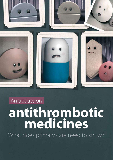

# An update on **antithrombotic medicines**

What does primary care need to know?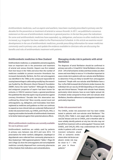*Antithrombotic medicines, such as aspirin and warfarin, have been routinely prescribed in primary care for decades for the prevention or treatment of arterial or venous thrombi. In 2011, we published a consensus statement on the use of antithrombotic medicines in general practice. In the last few years the indications for some oral antithrombotic medicines have expanded, e.g. dabigatran, and access to other medicines has increased, e.g. ticagrelor has been added to the Pharmaceutical Schedule. In this article we examine recent developments in the use of antithrombotic medicines, provide prescribing information for newer medicines commonly used in primary care, and update the evidence available to clinicians who are discussing the benefits and risks of antithrombotic treatment with patients.* 

## **Antithrombotic medicines in New Zealand**

Antithrombotic medicines, i.e. antiplatelets and anticoagulants, have an important role in the prevention and treatment of arterial and venous thrombi. Heparin was first isolated from liver tissue in the 1920s and since then the number of medicines available to prevent excessive thrombosis has increased dramatically. Warfarin, the first oral anticoagulant, was identified in the 1940s as the compound responsible for causing haemorrhage in cattle eating mouldy hay; the research was funded by the Wisconsin Alumni Research Foundation (WARF), hence the name "warfarin".<sup>1</sup> Although the analgesic and antipyretic properties of aspirin had been known for centuries, in 1950 Dr Lawrence Craven, a general practitioner, first published the idea that aspirin may be protective against coronary thrombosis.<sup>2</sup> Decades later this observation was confirmed by clinical trial.<sup>2</sup> More recently, several novel oral anticoagulants, e.g. dabigatran, and rivaroxaban, have been registered as medicines and guidance on their use continues to expand as more clinical trials are conducted. Refinement of stroke risk assessment tools, e.g. CHADS<sub>2</sub> and CHA<sub>2</sub>DS<sub>2</sub>-VASc, is ongoing and enables the benefits of antithrombotic treatment to be better balanced against their potential adverse effects.

#### **Which antithrombotic medicines are currently available for use in primary care?**

Antithrombotic medicines are widely used by patients in primary care; between July 2013 and June 2014, 110 prescriptions for either warfarin, dabigatran, clopidogrel or dipyridamole were collected from community pharmacies in New Zealand per 1000 registered patients.3 Tables 1 (Page 20) and 2 (Page 22) show the anticoagulants and oral antiplatelet medicines currently dispensed from community pharmacies in New Zealand, their indications and contraindications.

# **Managing stroke risk in patients with atrial fibrillation**

The diagnosis of atrial fibrillation should be confirmed in primary care with a 12-lead ECG.<sup>6</sup> Atrial fibrillation is the cause of 20 – 25% of all ischaemic strokes and these strokes are often severe and more likely to reoccur.<sup>6</sup> It is therefore important to assess stroke risk in patients with non-valvular atrial fibrillation to determine if they are likely to benefit from anticoagulant treatment.7 People with non-valvular atrial fibrillation have a four- to five-fold increased risk of ischemic stroke, however, the individual risk can vary by 20-fold depending on the person's age and clinical features.<sup>7</sup> People with valvular heart disease, particularly mitral stenosis, have an even higher annual risk of embolic stroke compared to those with non-valvular atrial fibrillation, therefore adherence to anticoagulant treatment is particularly important.

#### **Stroke risk assessment tools**

The CHADS $_2^{}$  stroke risk assessment tool has been widely tested in patients with non-valvular atrial fibrillation.<sup>7</sup> The  $CHA<sub>2</sub>DS<sub>2</sub>$ -VASc (Table 3, over page) adds the categories age, vascular disease and sex to  $\text{CHADS}_{2}$  and is therefore able to more reliably identify patients at very low risk who may not benefit from treatment with an anticoagulant.<sup>6</sup> However, both  $CHADS<sub>2</sub>$  and  $CHA<sub>2</sub>DS<sub>2</sub>$ -VASc may underestimate the risk of

stroke in patients with a recent transient ischaemic attack (TIA) or ischaemic stroke where other risk factors are absent; stroke risk may be closer to 7 – 10% per year in these patients.8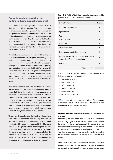# **Can antithrombotic medicines be continued during surgical procedures?**

Before patients undergo surgery it is important to balance their increased risk of bleeding, if they continue taking an antithrombotic medicine, against their reduced risk of experiencing a thromboembolic event. This is difficult as thromboembolic events are relatively uncommon but highly significant when they do occur, while bleeding may occur more frequently but will often be relatively mild in comparison. The type of procedure that is being planned is an important factor when performing this risk versus benefit analysis.

Patients taking aspirin or warfarin are highly unlikely to increase their risk of clinically significant bleeding if they undergo routine dental procedures.<sup>4</sup> It is also reasonable to continue aspirin or warfarin treatment when patients undergo minor dermatological procedures in primary care; warfarin use is associated with a 1.2% increased risk of bleeding during dermatological procedures.<sup>4</sup> If patients are undergoing more invasive procedures in secondary care, the decision to continue or withdraw antithrombotic treatment will be guided by the clinician performing the procedure.

If an antithrombotic medicine is withdrawn before a surgical procedure, the timing of this withdrawal depends on the half-life of the medicine and the patient's renal clearance. The duration of the antithrombotic effect of aspirin and clopidogrel is reported to be seven days and a single dose of warfarin is reported to have an antithrombotic effect for two to five days.<sup>4</sup> Therefore it is recommended that antiplatelet medicines be stopped seven to ten days before the surgical procedure and warfarin five days before the surgical procedure.<sup>4</sup>

There is less data available on the bleeding risk associated with newer antithrombotic medicines, e.g. dabigatran, if being taken by a patient undergoing a surgical procedure. In patients with a creatinine clearance (CrCl) > 50 mL/min discontinue dabigatran 24 hours before surgery.<sup>5</sup> If there is an increased risk of bleeding or a major surgery is planned dabigatran should be discontinued two days before the procedure.<sup>5</sup> In patients with a CrCl of 30 - 50 mL/min the clearance is likely to be prolonged and dabigatran should be stopped two to four days prior to the procedure.<sup>5</sup>

Table 3: CHA<sub>2</sub>DS<sub>2</sub>-VASc ischaemic stroke assessment tool for patients with non-valvular atrial fibrillation<sup>7</sup>

| <b>Clinical feature</b>                                                                   | Score         |
|-------------------------------------------------------------------------------------------|---------------|
| <b>Congestive heart failure</b>                                                           | 1             |
| <b>Hypertension</b>                                                                       | 1             |
| Age                                                                                       |               |
| $65 - 74$ years                                                                           | 1             |
| $\ge$ 25 years                                                                            | $\mathcal{P}$ |
| <b>Diabetes mellitus</b>                                                                  | 1             |
| <b>Stroke or transient ischaemic attack</b>                                               | $\mathcal{P}$ |
| Vascular disease, e.g. peripheral artery disease,<br>myocardial infarction, aortic plaque | 1             |
| Female sex                                                                                | 1             |
| Total out of $9 =$                                                                        |               |
|                                                                                           |               |

The annual risk of stroke according to  $\text{CHA}_{\text{2}}\text{DS}_{\text{2}}\text{-}\text{VASc score}$ (calculated for a score of up to 6) is: $8$ 

- $\blacksquare$  Zero points = 0.5%
- $\blacksquare$  One point = 1.5%
- $\blacksquare$  Two points = 2.5%
- $\blacksquare$  Three points = 5%
- Four points =  $6\%$
- Five to six points =  $7\%$

A number of online tools are available for calculating a patient's CHA<sub>2</sub>DS<sub>2</sub>-VASc score, e.g. http://clincalc.com/ **Cardiology/Stroke/CHADSVASC.aspx** 

#### **Previous guidance on the management of stroke risk has changed**

Previously, patients with non-valvular atrial fibrillation and a CHA<sub>2</sub>DS<sub>2</sub>-VASc score of zero were offered aspirin in preference to an anticoagulant. However, it is now recommended that these patients should not be treated with either an anticoagulant or an antiplatelet at this time.<sup>6</sup> Aspirin monotherapy should generally not be prescribed for the purpose of stroke prevention in patients with atrial fibrillation.9

Currently it is recommended that all patients with atrial fibrillation who have a **CHA<sub>2</sub>DS<sub>2</sub>-VASc score ≥ 1** should be considered for anticoagulant treatment and the risks and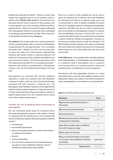benefits discussed with the patient.<sup>10</sup> However, a recent metaanalysis has suggested that the risk of ischaemic stroke in patients with a  $\mathsf{CHA}_{\mathbf{2}}\mathsf{DS}_{\mathbf{2}}\text{-}\mathsf{VASC}$  score of 1 may have been overestimated and the routine treatment of these patients with an anticoagulant may not be providing sufficient benefit to justify treatment.<sup>11</sup> Where it is uncertain if a patient will benefit from anticoagulant treatment a discussion with a cardiologist or neurologist may be beneficial. See Page 18 for a discussion on the benefits of warfarin versus dabigatran.

**The evidence:** The average stroke rate in primary prevention trials for untreated patients with non-valvular atrial fibrillation is approximately 4%, and approximately 12% in secondary prevention trials.12 Warfarin has been used for many years to reduce the stroke risk in these patients. Adjusted-dose treatment with warfarin results in a absolute reduction in all strokes of 2.7% per year (number needed to treat [NNT] for one year to prevent one stroke  $=$  37) for primary prevention, and a 8.4% reduction per year (NNT of 12) in secondary prevention.<sup>12</sup> Treatment with warfarin is associated with a small absolute increase in the risk of intracranial haemorrhage of 0.2% per year.<sup>12</sup>

Anticoagulants are associated with clinically significant reductions in stroke risk in patients with atrial fibrillation compared to aspirin, while the risk of intracranial bleeding associated with both medicines is relatively low.12 The Birmingham Atrial Fibrillation Treatment of the Aged (BAFTA) study found that in patients aged over 75 years the annual risk of stroke, intracranial haemorrhage and systemic embolus in patients taking warfarin was 1.8%, compared with an annual risk of 3.8% in patients taking aspirin.<sup>13</sup>

## **Consider the risk of bleeding before prescribing an anticoagulant**

The risk of bleeding should always be considered before discussing anticoagulation treatment with a patient, however, it is important that the bleeding risk is not overstated. Risk factors for bleeding in patients taking anticoagulant treatment include:<sup>10</sup>

- **Increasing age**
- **Uncontrolled hypertension**
- History of myocardial infarction, ischaemic heart disease or cerebrovascular disease
- Anaemia
- A history of bleeding
- The use of other medicines that increase bleeding risk, e.g. aspirin or other antiplatelet medicines, and nonsteroidal anti-inflammatory drugs (NSAIDs)

There are a number of tools available that can be used to assess the bleeding risk of patients with atrial fibrillation. The HAS-BLED tool (Table 4) is relatively simple and its use is recommended in order to identify modifiable risk factors that can be managed in patients undergoing anticoagulation treatment.<sup>6</sup> HAS-BLED may also be useful in balancing the risks versus benefits of anticoagulation treatment in patients with atrial fibrillation who have a CHA<sub>2</sub>DS<sub>2</sub>-VASc score of 1.<sup>6</sup> However, HAS-BLED should not be used to determine whether a patient should be offered anticoagulation treatment as this decision should be based on stroke risk estimation.<sup>6</sup> The BAFTA study found that in patients with a high risk of bleeding who were treated with warfarin the annual risk of intracranial haemorrhage was 0.2%; substantially lower than the annual risk of stroke.<sup>13</sup>

**A HAS-BLED score > 2** is associated with a clinically significant risk of major bleeding,<sup>7</sup> i.e. fatal bleeding, intracranial bleeding, or a significant drop in haemoglobin, and as a patient's score increases there is an increasing need for caution and monitoring when considering the use of anticoagulants.<sup>14</sup>

Percutaneous left atrial appendage occlusion is a recent intervention that is currently only available privately in New Zealand but is likely to be a option in the future for patients in whom anticoagulation is not tolerated or is contraindicated.<sup>9</sup>

**Table 4:** HAS-BLED bleeding risk prediction tool7

| <b>Risk factor</b>                                                                                            | Score        |
|---------------------------------------------------------------------------------------------------------------|--------------|
| <b>H</b> ypertension (systolic blood pressure $>$<br>160 mmHg)                                                | 1            |
| <b>Abnormal renal and liver function</b>                                                                      | 1 point each |
| <b>Stroke (past history)</b>                                                                                  | 1            |
| <b>Bleeding (previous history of bleeding or</b><br>predisposition to bleeding)                               | 1            |
| Labile INRs (unstable, high or insufficient<br>time with therapeutic range)                                   | 1            |
| <b>Elderly</b> (aged over 65 years)                                                                           | 1            |
| <b>Drugs or alcohol (including concomitant</b><br>use of aspirin, other antiplatelet medicines<br>and NSAIDs) | 1 point each |
| Total out of $9 =$                                                                                            |              |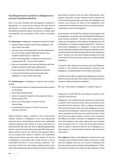## **Deciding between warfarin or dabigatran to prevent thromboembolism**

Once it has been decided that anticoagulant treatment is appropriate, it is necessary for patients and their general practitioners to decide whether warfarin or dabigatran is the preferred treatment option. The decision to initiate other anticoagulants, e.g. rivaroxaban, will be made in secondary care.

The **advantages** of dabigatran compared to warfarin include:

- **Superior ability to prevent stroke when dabigatran 150** mg, is taken twice daily
- Testing of level of anticoagulation and dose adjustments are not currently required, although research into a suitable monitoring test is underway
- Onset of anticoagulation is rapid (two to three hours) compared with 48 – 72 hours with warfarin<sup>15</sup>
- Does not accumulate in the liver and therefore safer than warfarin in patients with hepatic dysfunction $16$
- Fewer interactions with other medicines and foods
- A reduced risk of intracranial haemorrhage when dabigatran 110 mg, is taken twice daily

The **disadvantages** of dabigatran compared with warfarin include:

- An increased incidence of gastrointestinal adverse effects, e.g. dyspepsia
- **Twice daily dosing required**
- Caution is required in patients with progressive chronic kidney disease (CKD)
- There is no reversal agent to prevent or treat haemorrhage
- A small absolute increase in risk (0.27%) of acute coronary syndrome<sup>17</sup>

Patient preference plays a significant role in determining whether warfarin or dabigatran is the most appropriate treatment choice. Some patients may feel more comfortable initiating treatment with warfarin as it has a long history of being relatively safe when the dose is adjusted appropriately. Patients may also be reassured by the regular INR testing when taking warfarin and the fact that the anticoagulant effects can be reversed with vitamin K. Patients with established cardiovascular disease may also prefer warfarin as the use of dabigatran is associated with a small increase in risk of myocardial infarction or acute coronary syndrome.17 The increased "health time" that patients taking warfarin have with health professionals due to INR testing may be beneficial,

particularly for patients who live alone. Alternatively, other patients may prefer a newer medicine and the reduced risk of intracranial haemorrhage associated with dabigatran use. Patients and clinicians are likely to find dabigatran more convenient than warfarin because there is no need to perform monitoring to assess anticoagulation.

Some patients may benefit from taking an anticoagulant and an antiplatelet, e.g. patients with atrial fibrillation following an acute coronary syndrome.18 However, when a patient who is taking an anticoagulant is prescribed an antiplatelet their risk of bleeding is increased by approximately 50%.<sup>18</sup> Therefore a lower dose of dabigatran, i.e. dabigatran 110 mg, twice daily, may be preferable in patients also taking an antiplatelet, due to the decreased risk of major bleeding with the lower dabigatran dose.18 However, this must also be balanced against the small increased risk of acute coronary syndrome in patients taking dabigatran.

In patients with valvular heart disease and atrial fibrillation warfarin is the preferred anticoagulant; treatment with dabigatran is contraindicated in this situation (see below).

On balance the evidence suggests that dabigatran is at least as effective and may be safer than warfarin for the prevention of ischaemic stroke and systemic embolism.

 $G$  See: "The evidence: Dabigatran vs. warfarin", Page 18.

## **Dabigatran should NOT be prescribed to patients with valvular heart disease**

Dabigatran is not indicated for the prevention of thrombosis in patients with mechanical heart valves and should not be prescribed for this indication. There is evidence that patients with mechanical heart valves who take dabigatran are at an increased risk of bleeding or experiencing a thromboembolic event compared to what their risk would have been if they had been prescribed warfarin. Several trials comparing the efficacy and safety of warfarin or dabigatran in patients who had undergone heart valve replacement were stopped early prompting the U.S. Food and Drug Administration (FDA) to release a statement that the use of dabigatran as a anticoagulant is contraindicated in patients with mechanical heart valves.19

**The evidence:** Evidence that dabigatran should not be used in patients with mechanical heart valves comes from a study that was stopped early due to an excess of bleeding and thromboembolic events in patients taking dabigatran.20 Of the 252 patients enrolled in the study who had undergone mitral-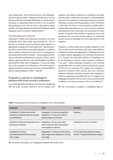valve replacement, 168 received treatment with dabigatran and 84 received warfarin.20 Dabigatran dosing was at 150 mg, 220 mg or 300 mg, twice daily, depending on renal function.<sup>21</sup> Ischaemic or unspecified stroke occurred in 5% of patients taking dabigatran but did not occur in any patients taking warfarin, and major bleeding occurred in 4% of patients taking dabigatran and 2% of patients taking warfarin.20

#### **Initiating dabigatran treatment**

Dabigatran is rapidly and completely converted to its active metabolite when taken orally. Approximately 80 – 85% of the dose is excreted in the urine therefore dose reduction is appropriate in people with renal impairment.<sup>22</sup> Renal function should be assessed before prescribing dabigatran. In patients with a creatinine clearance less than 30 mL/min dabigatran is contraindicated (see NZF for details).15 Dosing regimens for the various indications of dabigatran are shown in Table 5, below. Patients aged over 80 years with atrial fibrillation should be prescribed the lower dose of dabigatran 110 mg, twice daily, due to the increased risk of bleeding in this patient group.<sup>15</sup> Regular monitoring of renal function is also recommended for patients taking dabigatran (Table 1, Page 20).

# **Ticagrelor is superior to clopidogrel in patients with acute coronary syndromes**

It is increasingly likely that patients who have been diagnosed with an acute coronary syndrome will be treated with ticagrelor, twice daily, in preference to clopidogrel, once daily; both are used in combination with aspirin, i.e. dual antiplatelet treatment. This treatment is particularly beneficial to patients following a coronary stenting procedure as stent thrombosis is often fatal. The choice of anticoagulant is usually made in hospital following diagnosis of an acute coronary syndrome and treatment is then continued in the community for twelve months. In patients who are likely to experience issues with compliance the once daily dosing regimen of clopidogrel may be seen as an advantage over twice daily treatment with ticagrelor.

Ticagrelor is a direct-acting and reversible antagonist of the P2Y<sub>12</sub> receptor found on platelets and causes rapid inhibition of platelet activation and aggregation.<sup>16</sup> Clopidogrel also acts to inhibit platelet aggregation by irreversibly blocking the P2Y<sub>12</sub> receptor; the irreversible inhibition of clopidogrel can be an advantage in patients where treatment compliance is an issue.16 Unlike clopidogrel, ticagrelor is not a prodrug and therefore does not need to be processed by an enzyme (CYP2C19) to be activated. This explains why ticagrelor is reported to produce faster, greater and more consistent inhibition of platelet reactivity compared with clopidogrel.<sup>26</sup> Evidence supporting the preferential use of ticagrelor over clopidogrel for patients with an acute coronary syndrome with or without a prior history of stroke or TIA is accumulating.<sup>26, 27</sup>

 $\mathbb{G}$  See: "The evidence: Ticagrelor vs. clopidogrel", Page 19.

**Indication Dose Duration** Prophylaxis of stroke and systemic embolism in patients with non-valvular atrial fibrillation Dabigatran, 150 mg, twice daily OR dabigatran, 110 mg, twice daily in patients aged over 80 years Ongoing Treatment of deep vein thrombosis and pulmonary embolism Dabigatran, 150 mg, twice daily, after at least five days of parenteral anticoagulant treatment Continued for up to six months Prophylaxis of venous thromboembolism following major joint surgery Dabigatran, 110 mg, one to four hours after surgery, then dabigatran 220 mg, once daily For ten days following knee surgery and 28 – 35 days following hip surgery

Table 5: Dosing regimens for indications of dabigatran use in New Zealand<sup>15</sup>

 $\widehat{\mathcal{G}}$  For further information, see: "Dabigatran revisited", BPJ 50 (Feb, 2013).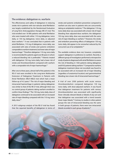#### **The evidence: dabigatran vs. warfarin**

The effectiveness and safety of dabigatran in reducing stroke risk in patients with non-valvular atrial fibrillation was largely established by the Randomised Evaluation of Long-Term Anticoagulation therapy (RE-LY) trial. This trial enrolled over 18 000 patients with atrial fibrillation who were treated with either 110 mg dabigatran, twice daily, or 150 mg dabigatran, twice daily, or adjusteddose warfarin.21 It was concluded that in patients with atrial fibrillation, 110 mg of dabigatran, twice daily, was associated with rates of stroke and systemic embolism comparable to warfarin treatment, but lower rates of major haemorrhage.21 Therefore dabigatran 110 mg, twice daily is recommended for patients aged over 80 years in whom a reduced bleeding risk is preferable.<sup>15</sup> Patients treated with dabigatran 150 mg, twice daily, had a lower risk of stroke and thromboembolism compared with warfarin with a comparable risk of major haemorrhage.<sup>21</sup>

After one to three years, almost half of the patients in the RE-LY trial were enrolled in the Long-term Multicenter Extension of Dabigatran Treatment in Patients with Atrial Fibrillation (RELY-ABLE) trial which had a mean follow-up of 4.3 years. $23$  The risk of major bleeding and intracranial haemorrhage in patients taking dabigatran was similar to that of the RE-LY trial, although there was no control group of patients taking warfarin enrolled to confirm these findings.<sup>23</sup> The 150 mg, twice daily, dose of dabigatran continued to be associated with an increased rate of major bleeding compared with the 110 mg, twice daily, dose.<sup>23</sup>

A 2013 subgroup analysis of the RE-LY trial has found that the reported benefits of dabigatran in terms of

stroke and systemic embolism prevention compared to warfarin are also seen in patients who are concurrently taking an antiplatelet medicine.<sup>18</sup> The dabigatran 110 mg, twice daily dose was associated with a lower risk of major bleeding than adjusted-dose warfarin; the dabigatran 150 mg, twice daily, dose was associated with the same risk of major bleeding as warfarin.<sup>18</sup> However, the stroke and embolism preventing effects of dabigatran 150 mg, twice daily, did appear to be somewhat reduced by the concurrent use of an antiplatelet.<sup>18</sup>

The available evidence does not, however, completely support dabigatran in preference to warfarin. Recently a different group of investigators performed a retrospective study of patients diagnosed with atrial fibrillation to assess the risk of bleeding in 1302 patients taking dabigatran and 8102 patients taking warfarin.<sup>24</sup> Compared to warfarin, dabigatran treatment (dose not recorded) was found to be associated with an increased risk of major bleeding (regardless of anatomical location) and gastrointestinal bleeding, but a lower risk of intracranial haemorrhage.<sup>24</sup>

A trial of over 2500 patients with acute venous thromboembolism compared dabigatran 150 mg, twice daily, with dose-adjusted warfarin. It was found that dabigatran treatment for patients with venous thromboembolism was associated with significantly fewer clinically relevant bleeds or bleeds of any sort and that dabigatran was associated with a trend towards fewer major bleeds.25 Contrary to studies in other patient groups the rate of intracranial bleeding was the same in both groups of patients; there were two intracranial bleeds recorded in each group of patients.<sup>25</sup>

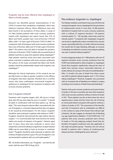#### **Ticagrelor may be more effective than clopidogrel in Māori or Pacific peoples**

Research has identified genetic polymorphisms in the CYP2C19 enzyme that metabolises clopidogrel, which may influence treatment efficacy. Ethnic differences have also been found in the prevalence of these alleles. A study of 312 New Zealand patients with acute coronary syndrome treated with clopidogrel and aspirin found that 47% of Māori and Pacific peoples had a loss-of-function CYP2CI9 allele, while 11% had a gain-of-function CYP2C19 allele.<sup>28</sup> In comparison 26% of Europeans with acute coronary syndrome had a loss-of-function allele and 41% had a gain-of-function allele.<sup>28</sup> The authors were also able to correlate the presence of the loss-of-function CYP2C19 allele with increased levels of platelet reactivity on assay from patients taking clopidogrel.<sup>28</sup> High platelet reactivity levels have been associated with poorer outcomes in patients with acute coronary syndromes. The authors of the study concluded that Māori and Pacific peoples should be preferentially treated with ticagrelor over clopidogrel.28

Although the clinical implications of the research are not yet fully known, to date no genetic variations in the efficacy of ticagrelor have been reported. Therefore this is a further reason why many cardiologists recommend ticagrelor in preference to clopidogrel for the treatment of patients with an acute coronary syndrome.

#### **How is ticagrelor initiated?**

Treatment with ticagrelor begins with 180 mg as a single dose, then 90 mg, twice daily, for up to 12 months.<sup>15</sup> It should be taken in combination with low-dose aspirin, e.g. 100 mg, daily.15 The most frequent adverse effect associated with the use of ticagrelor is a transient dyspnoea that does not appear to be caused by bronchospasm. For this reason, ticagrelor should be used cautiously in patients with asthma or COPD.<sup>15</sup> Ticagrelor should be discontinued five days before elective surgery.<sup>15</sup> It is recommended that renal function be tested within one month of initiation of ticagrelor.<sup>15</sup> Patients aged over 75 years, those who have moderate or severe renal impairment, and those taking an angiotensin receptor blocker (ARB) may be more likely to have an increase in creatinine levels.29 Ticagrelor should be used cautiously in patients with a history of hyperuricaemia or gout. The use of ticagrelor is not recommended in patients with uric acid nephropathy.29

 $\mathbb{G}$  For further information, see: "Ticagrelor – out with the old and in with the new?", BPJ 54 (Aug, 2013).

# **The evidence: ticgarelor vs. clopidogrel**

The Platelet Inhibition and Patient Outcomes (PLATO) trial compared ticagrelor versus clopidogrel for the prevention of cardiovascular events in more than 18 000 patients admitted to hospital with an acute coronary syndrome, with or without ST segment elevation.<sup>26</sup> All patients received aspirin 75 – 100 mg daily, unless they could not tolerate aspirin.26 Compared with clopidogrel, ticagrelor was found to significantly reduce mortality from vascular causes, myocardial infarction, or stroke, without increasing the overall rate of major bleeding, although, an increase in bleeding not related to coronary-artery bypass grafting was seen in patients taking ticagrelor.<sup>26</sup>

A recent subgroup analysis of 11 080 patients with non-ST segment elevation acute coronary syndrome from the PLATO trial randomised to either ticagrelor or clopidogrel found that ticagrelor significantly reduced the rates of death from vascular causes, myocardial infarction, or stroke without an increase in the rate of overall bleeding.<sup>26</sup> After 12 months, the rates of death from these causes was 9.8% in patients taking ticagrelor and 11.7% in those taking clopidogrel.26 However, ticagrelor was associated with an increased rate of bleeding not related to surgery, including more instances of fatal intracranial bleeding.<sup>26</sup>

Patients with acute coronary syndrome and a prior history of stroke or TIA have a mortality rate twice that of patients with acute coronary syndrome without a history of stroke or TIA.27 These patients are also at three times the risk of experiencing a stroke and four times the risk of having an intracranial bleed compared with patients without a history of stroke or TIA.<sup>27</sup> The assessment of the benefits and risks of treatment with an antiplatelet are difficult in this context as many of the factors that indicate high ischaemic risk also suggest an elevated risk of bleeding, e.g. age, hypertension, diabetes.27 In the PLATO trial, 1152 patients with acute coronary syndrome had a history of stroke or TIA and subgroup analysis found that the benefits of ticagrelor treatment were also applicable in this high-risk patient group.<sup>27</sup> However, this net clinical benefit in patients with a history of cerebrovascular disease has been challenged by some clinicians.<sup>30</sup>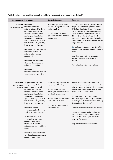Table 1: Anticoagulant medicines currently available from community pharmacies in New Zealand<sup>15</sup>

| Anticoagulant Indications                  |                                                                                                                                                                                                                                                                                                                                                                                                                                                                                                                                                                                                                                                          | <b>Contraindications</b>                                                                                                                                                                                                                                                      | <b>Comments</b>                                                                                                                                                                                                                                                                                                                                                                                                                                                                                                                                                                                                                                                                 |
|--------------------------------------------|----------------------------------------------------------------------------------------------------------------------------------------------------------------------------------------------------------------------------------------------------------------------------------------------------------------------------------------------------------------------------------------------------------------------------------------------------------------------------------------------------------------------------------------------------------------------------------------------------------------------------------------------------------|-------------------------------------------------------------------------------------------------------------------------------------------------------------------------------------------------------------------------------------------------------------------------------|---------------------------------------------------------------------------------------------------------------------------------------------------------------------------------------------------------------------------------------------------------------------------------------------------------------------------------------------------------------------------------------------------------------------------------------------------------------------------------------------------------------------------------------------------------------------------------------------------------------------------------------------------------------------------------|
| <b>Warfarin</b><br>vitamin K antagonist    | Prevention of<br>thromboembolism in<br>patients with atrial fibrillation<br>(AF) with at least one risk<br>factor, e.g. previous TIA or<br>stroke, systemic embolism,<br>symptomatic heart failure,<br>age $\ge$ 75 years, age $\ge$ 65 years<br>with coronary artery disease,<br>hypertension, or diabetes.<br>Prevention of stroke following<br>myocardial infarction in<br>patients with increased<br>embolic risk.<br>Prevention and treatment<br>of venous thrombosis and<br>pulmonary embolism.<br>Prevention of<br>thromboembolism in patients<br>with prosthetic heart valves.                                                                   | Haemorrhagic stroke, active<br>bleeding or significant risk of<br>major bleeding.<br>Should not be used during<br>pregnancy or within 48 hours<br>postpartum.                                                                                                                 | Dose is adjusted according to the patient's<br>INR; the patient should spend more than<br>65% of the time in the therapeutic range. <sup>6</sup><br>For primary and secondary prevention of<br>stroke the dose is adjusted to achieve an<br>INR of 2-3. In patients with aortic valve<br>prosthesis the target INR is 2.5-3.0, and in<br>patients with mitral valve prosthesis the INR<br>target is 3.0-3.5.<br><b><i>G</i></b> For further information, see: "Use of INR<br>for monitoring warfarin treatment", BT (Nov,<br>2010).<br>Medicines are available to reverse the<br>anticoagulant effect of warfarin, e.g.<br>vitamin K.<br>Fully subsidised without restrictions. |
| Dabigatran<br>direct thrombin<br>inhibitor | The prevention of stroke<br>and systemic embolism in<br>patients with non-valvular<br>AF with at least one risk<br>factor, e.g. previous TIA or<br>stroke, systemic embolism,<br>symptomatic heart failure,<br>age $\ge$ 75 years, age $\ge$ 65 years<br>with coronary artery disease,<br>hypertension, or diabetes.<br>Prevention of venous<br>thromboembolism following<br>total hip or knee replacement.<br>Treatment of deep vein<br>thrombosis or pulmonary<br>embolism after at least<br>five days of parenteral<br>anticoagulant treatment (new<br>2014).<br>Prevention of recurrent deep<br>vein thrombosis or pulmonary<br>embolism (new 2014). | Active bleeding or significant<br>risk of major bleeding.<br>Should not be used as an<br>anticoagulant in patients with<br>prosthetic heart valves.<br>Should not be used in patients<br>with $CrCl < 30$ mL/min.<br>Concomitant treatment with<br>ketoconazole. <sup>5</sup> | Regular monitoring of renal function is<br>required. Test renal function in all patients<br>prior to initiation and preferably three to six<br>monthly (but at least annually) in patients<br>with a CrCl of $30 - 50$ mL/min.<br>Test renal function annually in patients<br>aged over 75 years and in all patients where<br>there may be a decline in renal function, e.g.<br>dehydration or diuretic use. <sup>5</sup><br>Currently no reversal medicine is available.<br>Therapeutic testing may be available in<br>the future to improve treatment efficacy,<br>although this would negate one of the<br>benefits of treatment.<br>Fully subsidised without restrictions.  |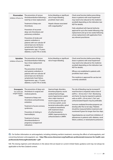| Rivaroxaban<br>inhibitor of factor Xa                                 | The prevention of venous<br>thromboembolism following a<br>total hip or knee replacement.<br>Treatment of deep vein<br>thrombosis.<br>Prevention of recurrent<br>deep-vein thrombosis and<br>pulmonary embolism.<br>Prevention of stroke and<br>systemic embolism in<br>patients with non-valvular AF<br>and at least one risk factor:<br>symptomatic heart failure,<br>hypertension, age $\geq$ 75 years,<br>diabetes, or prior TIA or stroke. | Active bleeding or significant<br>risk of major bleeding,<br>prosthetic heart valve.<br>Hepatic disease associated<br>with coagulopathy. <sup>31</sup>                                                                                                                                                                                                              | Check renal function before prescribing;<br>doses in patients with renal impairment<br>may need to be reduced (or the medicine<br>avoided) depending on the indication (see<br>NZF for details).<br>Fully subsidised with Special Authority<br>approval for up to five weeks following a hip<br>replacement and up to two weeks following<br>a knee replacement with application from<br>any relevant practitioner.                                                                                                                                                                                                              |
|-----------------------------------------------------------------------|-------------------------------------------------------------------------------------------------------------------------------------------------------------------------------------------------------------------------------------------------------------------------------------------------------------------------------------------------------------------------------------------------------------------------------------------------|---------------------------------------------------------------------------------------------------------------------------------------------------------------------------------------------------------------------------------------------------------------------------------------------------------------------------------------------------------------------|----------------------------------------------------------------------------------------------------------------------------------------------------------------------------------------------------------------------------------------------------------------------------------------------------------------------------------------------------------------------------------------------------------------------------------------------------------------------------------------------------------------------------------------------------------------------------------------------------------------------------------|
| Apixaban<br>inhibitor of factor Xa                                    | The prevention of venous<br>thromboembolism following<br>hip or knee replacement<br>surgery.<br>The prevention of stroke<br>and systemic embolism in<br>patients with non-valvular AF<br>and at least one risk factor:<br>symptomatic heart failure,<br>hypertension, age ≥ 75 years,<br>diabetes, or prior TIA or stroke.                                                                                                                      | Active bleeding or significant<br>risk of major bleeding.                                                                                                                                                                                                                                                                                                           | Check renal function before prescribing;<br>doses in patients with renal impairment<br>may need to be reduced (or the medicine<br>avoided) depending on the indication (see<br>NZF for details).<br>Efficacy not established in patients with<br>prosthetic heart valves.<br>This medicine is approved for use but not<br>currently subsidised.                                                                                                                                                                                                                                                                                  |
| <b>Enoxaparin</b><br>low molecular<br>weight heparin -<br><b>LMWH</b> | The prevention of deep-vein<br>thrombosis in surgical and<br>medical patients.<br>Treatment of deep-vein<br>thrombosis and pulmonary<br>embolism.<br>Treatment of acute coronary<br>syndromes.<br>Prevention of clotting in<br>haemodialysis.<br>Treatment of venous<br>thromboembolism in<br>pregnancy (unapproved<br>indication).                                                                                                             | Haemorrhagic disorders,<br>thrombocytopenia, recent<br>cerebral haemorrhage,<br>severe hypertension, peptic<br>ulcer, major trauma or<br>recent surgery to the eye<br>or nervous system, acute<br>bacterial endocarditis, spinal<br>or epidural anaesthesia<br>with treatment doses<br>of unfractionated or<br>LMWH, hypersensitivity to<br>unfractionated or LMWH. | The risk of bleeding may be increased if<br>renal function is impaired; reduce dose if<br>eGFR is < 30 mL/min/1.73m <sup>2</sup> . Monitoring<br>anti-factor Xa may be required in patients<br>with an eGFR $<$ 30 mL/min/1.73m <sup>2</sup> and<br>unfractionated heparin may be preferable.<br>Immune-mediated thrombocytopenia can<br>develop after five to ten days. Platelets<br>should be measured before treatment and<br>monitored if given for longer than four days.<br>Hyperkalaemia can result from inhibition of<br>aldosterone in patients with: diabetes, renal<br>failure, acidosis, or raised plasma potassium. |

 $\mathbb G$  For further information on anticoagulants, including initiating warfarin treatment, reversing the effects of anticoagulants, and converting between anticoagulants see: **http://files.www.clotconnect.org/healthcare-professionals/resources-for-health-careprofessionals/AnticoagPocketGuide-1.pdf** 

N.B. The dosing regimens and indications in the above link are based on current United States guidance and may not always be applicable to the New Zealand context.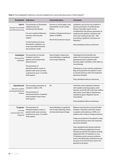| <b>Antiplatelet Indications</b>                                          |                                                                                                                                                                                                                                                                             | <b>Contraindications</b>                                                                                                                                                | <b>Comments</b>                                                                                                                                                                                                                                                                                                                                                                                                                                                                                                                                                                                                                    |
|--------------------------------------------------------------------------|-----------------------------------------------------------------------------------------------------------------------------------------------------------------------------------------------------------------------------------------------------------------------------|-------------------------------------------------------------------------------------------------------------------------------------------------------------------------|------------------------------------------------------------------------------------------------------------------------------------------------------------------------------------------------------------------------------------------------------------------------------------------------------------------------------------------------------------------------------------------------------------------------------------------------------------------------------------------------------------------------------------------------------------------------------------------------------------------------------------|
| <b>Aspirin</b><br>salicylate non-steroidal<br>anti-inflammatory drug     | The prevention of thrombotic<br>cardiovascular and<br>cerebrovascular disease.<br>For use in patients following<br>coronary artery by-pass<br>surgery.<br>For the treatment of acute<br>thrombotic conditions, e.g.<br>acute myocardial infarction<br>and ischaemic stroke. | Previous or active peptic ulcer,<br>haemophilia, severe cardiac<br>failure.<br>A history of hypersensitivity to<br>aspirin or NSAIDs.<br>Not for the treatment of gout. | Guidelines vary for the use of aspirin in<br>primary prevention of cardiovascular<br>disease. Generally, aspirin can be<br>considered for the primary prevention of<br>cardiovascular disease in patients with<br>a five-year cardiovascular risk > 20%<br>and without significant risk factors for<br>bleeding. <sup>32</sup><br>Fully subsidised without restrictions.                                                                                                                                                                                                                                                           |
| Clopidogrel<br>thienopyridine<br>antiplatelet                            | The prevention of vascular<br>ischaemic events in<br>patients with symptomatic<br>atherosclerosis.<br>The prevention of<br>atherothrombotic events in<br>patients with acute coronary<br>syndrome for up to 12 months<br>(with aspirin).                                    | Severe hepatic impairment,<br>active bleeding or significant<br>risk of major bleeding.                                                                                 | Clopidogrel has the benefit over<br>aspirin of not requiring concomitant<br>gastroprotection in patients with<br>previous peptic ulceration, when taken as<br>monotherapy.<br>Following an acute coronary syndrome a<br>flag can be placed in the patient's notes<br>to remind clinicians when the treatment<br>period has finished.<br>Fully subsidised without restrictions.                                                                                                                                                                                                                                                     |
| Dipyridamole<br>adenosine reuptake<br>and phosphodiesterase<br>inhibitor | The secondary prevention of<br>ischaemic stroke or TIA.<br>The prevention of<br>thromboembolism in patients<br>with prosthetic heart valves<br>(with aspirin).                                                                                                              | Nil                                                                                                                                                                     | Should be used cautiously in patients<br>with rapidly worsening angina, aortic<br>stenosis, recent MI, left ventricular outflow<br>obstruction, heart failure, hypotension,<br>myasthenia gravis. Migraine may be<br>exacerbated.<br>Fully subsidised without restrictions.                                                                                                                                                                                                                                                                                                                                                        |
| reversible<br>purinoreceptor-P2Y <sub>12</sub><br>antagonist             | Ticagrelor The prevention of<br>atherothrombotic events in<br>patients with acute coronary<br>syndrome for up to 12 months<br>(with aspirin)                                                                                                                                | Active bleeding or significant<br>risk of major bleeding, history<br>of intracranial haemorrhage.                                                                       | Measure renal function one month after<br>initiation. Should be used with caution<br>in patients with asthma or COPD, or in<br>patients with a history of hyperuricaemia.<br>A flag can be placed in the patient's notes<br>to remind clinicians when the treatment<br>period has finished.<br>Fully subsidised with Special Authority<br>approval following application by any<br>relevant practitioner for patients recently<br>diagnosed with a ST-elevation or non-<br>ST-elevation acute coronary syndrome<br>and in who fibrinolytic treatment has not<br>be given in the last 24 hours (and is not<br>planned to be given). |

Table 2: Oral antiplatelet medicines currently available from community pharmacies in New Zealand<sup>15</sup>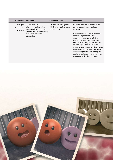| Antiplatelet                                | <b>Indications</b>                                                                                                                                       | <b>Contraindications</b>                                                               | <b>Comments</b>                                                                                                                                                                                                                                                                                                                                                                                                                                                                                                                                                             |
|---------------------------------------------|----------------------------------------------------------------------------------------------------------------------------------------------------------|----------------------------------------------------------------------------------------|-----------------------------------------------------------------------------------------------------------------------------------------------------------------------------------------------------------------------------------------------------------------------------------------------------------------------------------------------------------------------------------------------------------------------------------------------------------------------------------------------------------------------------------------------------------------------------|
| Prasugrel<br>thienopyridine<br>antiplatelet | The prevention of<br>atherothrombotic events in<br>patients with acute coronary<br>syndrome who are undergoing<br>percutaneous coronary<br>intervention. | Active bleeding or significant<br>risk of major bleeding, history<br>of TIA or stroke. | Discontinue at least seven days before<br>surgery depending on the clinical<br>circumstance.<br>Fully subsidised with Special Authority<br>approval for patients who have<br>undergone coronary angioplasty in<br>the past four weeks and have a bare<br>metal stent or a drug-eluting stent, and<br>are clopidogrel-allergic i.e. a history of<br>anaphylaxis, urticaria, generalised rash, or<br>unexplained asthma developing shortly<br>after clopidogrel initiation. Subsidy also<br>applies for patients who have had a stent<br>thrombosis while taking clopidogrel. |